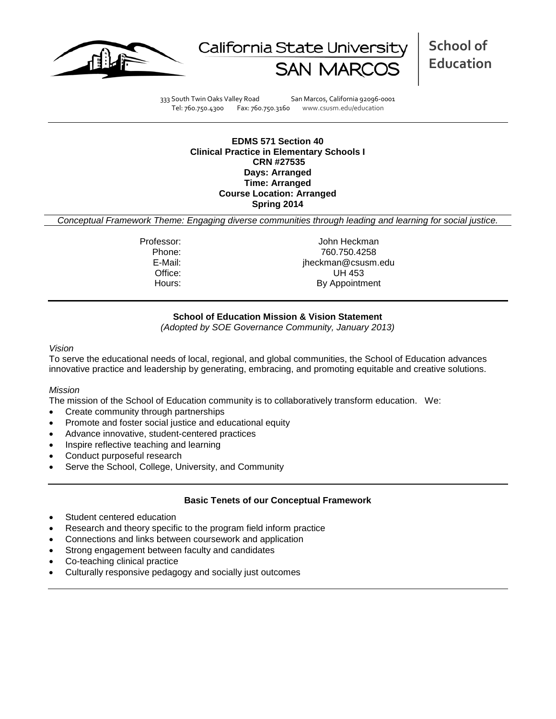



**School of Education**

333 South Twin Oaks Valley Road San Marcos, California 92096-0001 Tel: 760.750.4300 Fax: 760.750.3160 www.csusm.edu/education

**EDMS 571 Section 40 Clinical Practice in Elementary Schools I CRN #27535 Days: Arranged Time: Arranged Course Location: Arranged Spring 2014** 

*Conceptual Framework Theme: Engaging diverse communities through leading and learning for social justice.*

Professor: John Heckman Phone: 760.750.4258<br>E-Mail: 760.750.4258<br>E-Mail: 760.750.4258 jheckman@csusm.edu Office: UH 453 Hours: By Appointment

## **School of Education Mission & Vision Statement**

*(Adopted by SOE Governance Community, January 2013)*

#### *Vision*

To serve the educational needs of local, regional, and global communities, the School of Education advances innovative practice and leadership by generating, embracing, and promoting equitable and creative solutions.

### *Mission*

The mission of the School of Education community is to collaboratively transform education. We:

- Create community through partnerships
- Promote and foster social justice and educational equity
- Advance innovative, student-centered practices
- Inspire reflective teaching and learning
- Conduct purposeful research
- Serve the School, College, University, and Community

### **Basic Tenets of our Conceptual Framework**

- Student centered education
- Research and theory specific to the program field inform practice
- Connections and links between coursework and application
- Strong engagement between faculty and candidates
- Co-teaching clinical practice
- Culturally responsive pedagogy and socially just outcomes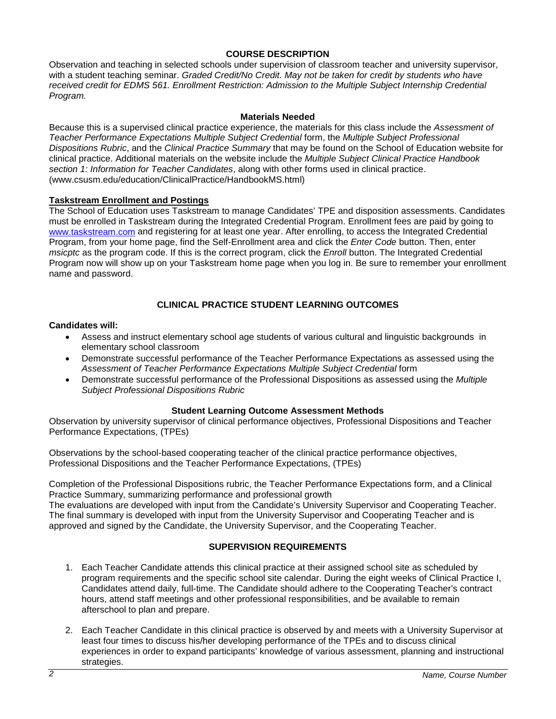## **COURSE DESCRIPTION**

Observation and teaching in selected schools under supervision of classroom teacher and university supervisor, with a student teaching seminar. *Graded Credit/No Credit. May not be taken for credit by students who have received credit for EDMS 561. Enrollment Restriction: Admission to the Multiple Subject Internship Credential Program.*

#### **Materials Needed**

Because this is a supervised clinical practice experience, the materials for this class include the *Assessment of Teacher Performance Expectations Multiple Subject Credential* form, the *Multiple Subject Professional Dispositions Rubric*, and the *Clinical Practice Summary* that may be found on the School of Education website for clinical practice. Additional materials on the website include the *Multiple Subject Clinical Practice Handbook section 1: Information for Teacher Candidates*, along with other forms used in clinical practice. (www.csusm.edu/education/ClinicalPractice/HandbookMS.html)

### **Taskstream Enrollment and Postings**

The School of Education uses Taskstream to manage Candidates' TPE and disposition assessments. Candidates must be enrolled in Taskstream during the Integrated Credential Program. Enrollment fees are paid by going to [www.taskstream.com](http://www.taskstrem.com/) and registering for at least one year. After enrolling, to access the Integrated Credential Program, from your home page, find the Self-Enrollment area and click the *Enter Code* button. Then, enter *msicptc* as the program code. If this is the correct program, click the *Enroll* button. The Integrated Credential Program now will show up on your Taskstream home page when you log in. Be sure to remember your enrollment name and password.

## **CLINICAL PRACTICE STUDENT LEARNING OUTCOMES**

#### **Candidates will:**

- Assess and instruct elementary school age students of various cultural and linguistic backgrounds in elementary school classroom
- Demonstrate successful performance of the Teacher Performance Expectations as assessed using the Assessment of Teacher Performance Expectations Multiple Subject Credential form
- Demonstrate successful performance of the Professional Dispositions as assessed using the *Multiple Subject Professional Dispositions Rubric*

#### **Student Learning Outcome Assessment Methods**

Observation by university supervisor of clinical performance objectives, Professional Dispositions and Teacher Performance Expectations, (TPEs)

Observations by the school-based cooperating teacher of the clinical practice performance objectives, Professional Dispositions and the Teacher Performance Expectations, (TPEs)

Completion of the Professional Dispositions rubric, the Teacher Performance Expectations form, and a Clinical Practice Summary, summarizing performance and professional growth

The evaluations are developed with input from the Candidate's University Supervisor and Cooperating Teacher. The final summary is developed with input from the University Supervisor and Cooperating Teacher and is approved and signed by the Candidate, the University Supervisor, and the Cooperating Teacher.

### **SUPERVISION REQUIREMENTS**

- 1. Each Teacher Candidate attends this clinical practice at their assigned school site as scheduled by program requirements and the specific school site calendar. During the eight weeks of Clinical Practice I, Candidates attend daily, full-time. The Candidate should adhere to the Cooperating Teacher's contract hours, attend staff meetings and other professional responsibilities, and be available to remain afterschool to plan and prepare.
- 2. Each Teacher Candidate in this clinical practice is observed by and meets with a University Supervisor at least four times to discuss his/her developing performance of the TPEs and to discuss clinical experiences in order to expand participants' knowledge of various assessment, planning and instructional strategies.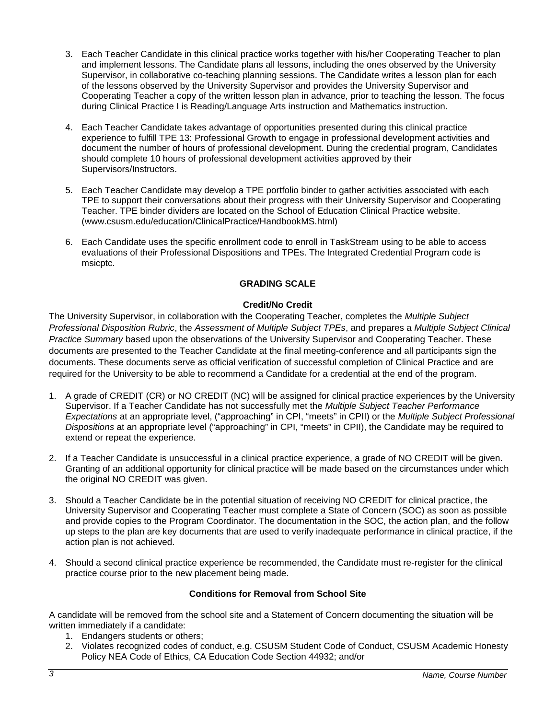- 3. Each Teacher Candidate in this clinical practice works together with his/her Cooperating Teacher to plan and implement lessons. The Candidate plans all lessons, including the ones observed by the University Supervisor, in collaborative co-teaching planning sessions. The Candidate writes a lesson plan for each of the lessons observed by the University Supervisor and provides the University Supervisor and Cooperating Teacher a copy of the written lesson plan in advance, prior to teaching the lesson. The focus during Clinical Practice I is Reading/Language Arts instruction and Mathematics instruction.
- 4. Each Teacher Candidate takes advantage of opportunities presented during this clinical practice experience to fulfill TPE 13: Professional Growth to engage in professional development activities and document the number of hours of professional development. During the credential program, Candidates should complete 10 hours of professional development activities approved by their Supervisors/Instructors.
- 5. Each Teacher Candidate may develop a TPE portfolio binder to gather activities associated with each TPE to support their conversations about their progress with their University Supervisor and Cooperating Teacher. TPE binder dividers are located on the School of Education Clinical Practice website. (www.csusm.edu/education/ClinicalPractice/HandbookMS.html)
- 6. Each Candidate uses the specific enrollment code to enroll in TaskStream using to be able to access evaluations of their Professional Dispositions and TPEs. The Integrated Credential Program code is msicptc.

# **GRADING SCALE**

# **Credit/No Credit**

The University Supervisor, in collaboration with the Cooperating Teacher, completes the *Multiple Subject Professional Disposition Rubric*, the *Assessment of Multiple Subject TPEs*, and prepares a *Multiple Subject Clinical Practice Summary* based upon the observations of the University Supervisor and Cooperating Teacher. These documents are presented to the Teacher Candidate at the final meeting-conference and all participants sign the documents. These documents serve as official verification of successful completion of Clinical Practice and are required for the University to be able to recommend a Candidate for a credential at the end of the program.

- 1. A grade of CREDIT (CR) or NO CREDIT (NC) will be assigned for clinical practice experiences by the University Supervisor. If a Teacher Candidate has not successfully met the *Multiple Subject Teacher Performance Expectations* at an appropriate level, ("approaching" in CPI, "meets" in CPII) or the *Multiple Subject Professional Dispositions* at an appropriate level ("approaching" in CPI, "meets" in CPII), the Candidate may be required to extend or repeat the experience.
- 2. If a Teacher Candidate is unsuccessful in a clinical practice experience, a grade of NO CREDIT will be given. Granting of an additional opportunity for clinical practice will be made based on the circumstances under which the original NO CREDIT was given.
- 3. Should a Teacher Candidate be in the potential situation of receiving NO CREDIT for clinical practice, the University Supervisor and Cooperating Teacher must complete a State of Concern (SOC) as soon as possible and provide copies to the Program Coordinator. The documentation in the SOC, the action plan, and the follow up steps to the plan are key documents that are used to verify inadequate performance in clinical practice, if the action plan is not achieved.
- 4. Should a second clinical practice experience be recommended, the Candidate must re-register for the clinical practice course prior to the new placement being made.

# **Conditions for Removal from School Site**

A candidate will be removed from the school site and a Statement of Concern documenting the situation will be written immediately if a candidate:

- 1. Endangers students or others;
- 2. Violates recognized codes of conduct, e.g. CSUSM Student Code of Conduct, CSUSM Academic Honesty Policy NEA Code of Ethics, CA Education Code Section 44932; and/or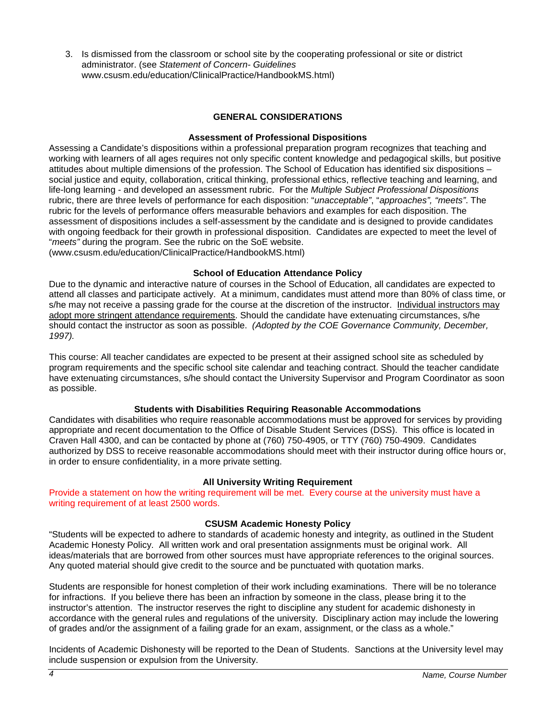3. Is dismissed from the classroom or school site by the cooperating professional or site or district administrator. (see *Statement of Concern- Guidelines* www.csusm.edu/education/ClinicalPractice/HandbookMS.html)

# **GENERAL CONSIDERATIONS**

### **Assessment of Professional Dispositions**

Assessing a Candidate's dispositions within a professional preparation program recognizes that teaching and working with learners of all ages requires not only specific content knowledge and pedagogical skills, but positive attitudes about multiple dimensions of the profession. The School of Education has identified six dispositions – social justice and equity, collaboration, critical thinking, professional ethics, reflective teaching and learning, and life-long learning - and developed an assessment rubric. For the *Multiple Subject Professional Dispositions*  rubric, there are three levels of performance for each disposition: "*unacceptable"*, "*approaches", "meets"*. The rubric for the levels of performance offers measurable behaviors and examples for each disposition. The assessment of dispositions includes a self-assessment by the candidate and is designed to provide candidates with ongoing feedback for their growth in professional disposition. Candidates are expected to meet the level of "*meets"* during the program. See the rubric on the SoE website.

(www.csusm.edu/education/ClinicalPractice/HandbookMS.html)

## **School of Education Attendance Policy**

Due to the dynamic and interactive nature of courses in the School of Education, all candidates are expected to attend all classes and participate actively. At a minimum, candidates must attend more than 80% of class time, or s/he may not receive a passing grade for the course at the discretion of the instructor. Individual instructors may adopt more stringent attendance requirements. Should the candidate have extenuating circumstances, s/he should contact the instructor as soon as possible. *(Adopted by the COE Governance Community, December, 1997).*

This course: All teacher candidates are expected to be present at their assigned school site as scheduled by program requirements and the specific school site calendar and teaching contract. Should the teacher candidate have extenuating circumstances, s/he should contact the University Supervisor and Program Coordinator as soon as possible.

# **Students with Disabilities Requiring Reasonable Accommodations**

Candidates with disabilities who require reasonable accommodations must be approved for services by providing appropriate and recent documentation to the Office of Disable Student Services (DSS). This office is located in Craven Hall 4300, and can be contacted by phone at (760) 750-4905, or TTY (760) 750-4909. Candidates authorized by DSS to receive reasonable accommodations should meet with their instructor during office hours or, in order to ensure confidentiality, in a more private setting.

### **All University Writing Requirement**

Provide a statement on how the writing requirement will be met. Every course at the university must have a writing requirement of at least 2500 words.

### **CSUSM Academic Honesty Policy**

"Students will be expected to adhere to standards of academic honesty and integrity, as outlined in the Student Academic Honesty Policy. All written work and oral presentation assignments must be original work. All ideas/materials that are borrowed from other sources must have appropriate references to the original sources. Any quoted material should give credit to the source and be punctuated with quotation marks.

Students are responsible for honest completion of their work including examinations. There will be no tolerance for infractions. If you believe there has been an infraction by someone in the class, please bring it to the instructor's attention. The instructor reserves the right to discipline any student for academic dishonesty in accordance with the general rules and regulations of the university. Disciplinary action may include the lowering of grades and/or the assignment of a failing grade for an exam, assignment, or the class as a whole."

Incidents of Academic Dishonesty will be reported to the Dean of Students. Sanctions at the University level may include suspension or expulsion from the University.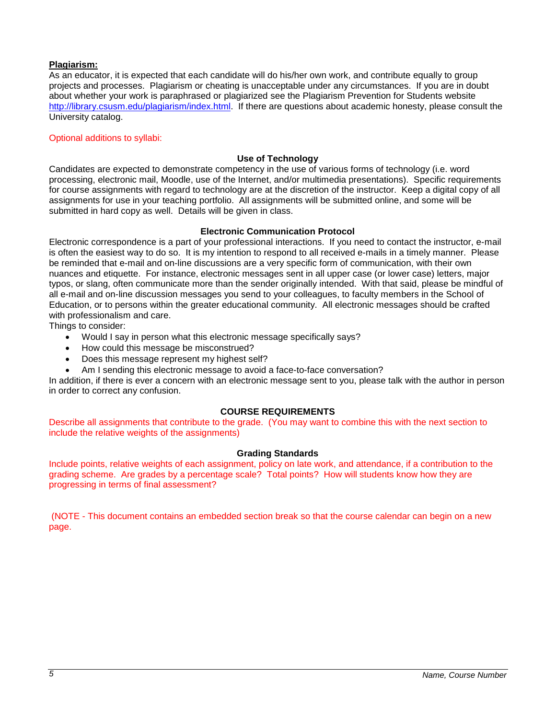## **Plagiarism:**

As an educator, it is expected that each candidate will do his/her own work, and contribute equally to group projects and processes. Plagiarism or cheating is unacceptable under any circumstances. If you are in doubt about whether your work is paraphrased or plagiarized see the Plagiarism Prevention for Students website [http://library.csusm.edu/plagiarism/index.html.](http://library.csusm.edu/plagiarism/index.html) If there are questions about academic honesty, please consult the University catalog.

### Optional additions to syllabi:

### **Use of Technology**

Candidates are expected to demonstrate competency in the use of various forms of technology (i.e. word processing, electronic mail, Moodle, use of the Internet, and/or multimedia presentations). Specific requirements for course assignments with regard to technology are at the discretion of the instructor. Keep a digital copy of all assignments for use in your teaching portfolio. All assignments will be submitted online, and some will be submitted in hard copy as well. Details will be given in class.

### **Electronic Communication Protocol**

Electronic correspondence is a part of your professional interactions. If you need to contact the instructor, e-mail is often the easiest way to do so. It is my intention to respond to all received e-mails in a timely manner. Please be reminded that e-mail and on-line discussions are a very specific form of communication, with their own nuances and etiquette. For instance, electronic messages sent in all upper case (or lower case) letters, major typos, or slang, often communicate more than the sender originally intended. With that said, please be mindful of all e-mail and on-line discussion messages you send to your colleagues, to faculty members in the School of Education, or to persons within the greater educational community. All electronic messages should be crafted with professionalism and care.

Things to consider:

- Would I say in person what this electronic message specifically says?
- How could this message be misconstrued?
- Does this message represent my highest self?
- Am I sending this electronic message to avoid a face-to-face conversation?

In addition, if there is ever a concern with an electronic message sent to you, please talk with the author in person in order to correct any confusion.

# **COURSE REQUIREMENTS**

Describe all assignments that contribute to the grade. (You may want to combine this with the next section to include the relative weights of the assignments)

### **Grading Standards**

Include points, relative weights of each assignment, policy on late work, and attendance, if a contribution to the grading scheme. Are grades by a percentage scale? Total points? How will students know how they are progressing in terms of final assessment?

(NOTE - This document contains an embedded section break so that the course calendar can begin on a new page.